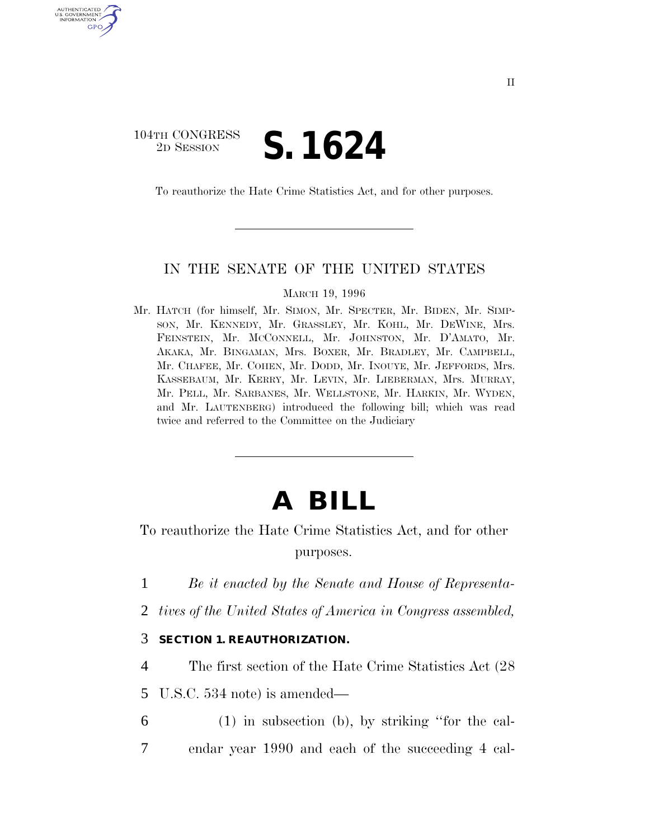## 104TH CONGRESS 2D SESSION **S. 1624**

U.S. GOVERNMENT GPO

To reauthorize the Hate Crime Statistics Act, and for other purposes.

## IN THE SENATE OF THE UNITED STATES

MARCH 19, 1996

Mr. HATCH (for himself, Mr. SIMON, Mr. SPECTER, Mr. BIDEN, Mr. SIMP-SON, Mr. KENNEDY, Mr. GRASSLEY, Mr. KOHL, Mr. DEWINE, Mrs. FEINSTEIN, Mr. MCCONNELL, Mr. JOHNSTON, Mr. D'AMATO, Mr. AKAKA, Mr. BINGAMAN, Mrs. BOXER, Mr. BRADLEY, Mr. CAMPBELL, Mr. CHAFEE, Mr. COHEN, Mr. DODD, Mr. INOUYE, Mr. JEFFORDS, Mrs. KASSEBAUM, Mr. KERRY, Mr. LEVIN, Mr. LIEBERMAN, Mrs. MURRAY, Mr. PELL, Mr. SARBANES, Mr. WELLSTONE, Mr. HARKIN, Mr. WYDEN, and Mr. LAUTENBERG) introduced the following bill; which was read twice and referred to the Committee on the Judiciary

## **A BILL**

To reauthorize the Hate Crime Statistics Act, and for other purposes.

1 *Be it enacted by the Senate and House of Representa-*

2 *tives of the United States of America in Congress assembled,*

## 3 **SECTION 1. REAUTHORIZATION.**

4 The first section of the Hate Crime Statistics Act (28

5 U.S.C. 534 note) is amended—

6 (1) in subsection (b), by striking ''for the cal-7 endar year 1990 and each of the succeeding 4 cal-